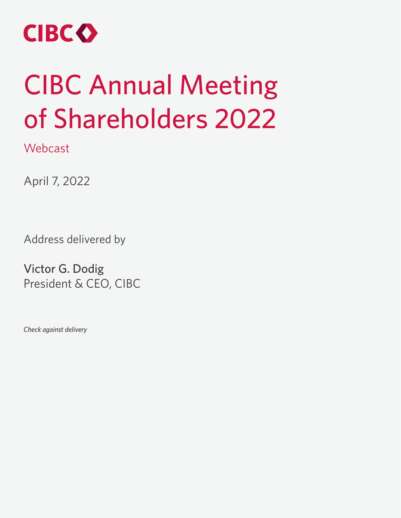

## CIBC Annual Meeting of Shareholders 2022

**Webcast** 

April 7, 2022

Address delivered by

Victor G. Dodig President & CEO, CIBC

*Check against delivery*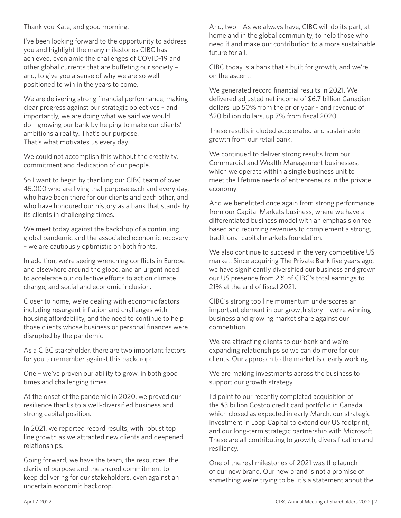## Thank you Kate, and good morning.

I've been looking forward to the opportunity to address you and highlight the many milestones CIBC has achieved, even amid the challenges of COVID-19 and other global currents that are buffeting our society – and, to give you a sense of why we are so well positioned to win in the years to come.

We are delivering strong financial performance, making clear progress against our strategic objectives – and importantly, we are doing what we said we would do – growing our bank by helping to make our clients' ambitions a reality. That's our purpose. That's what motivates us every day.

We could not accomplish this without the creativity, commitment and dedication of our people.

So I want to begin by thanking our CIBC team of over 45,000 who are living that purpose each and every day, who have been there for our clients and each other, and who have honoured our history as a bank that stands by its clients in challenging times.

We meet today against the backdrop of a continuing global pandemic and the associated economic recovery – we are cautiously optimistic on both fronts.

In addition, we're seeing wrenching conflicts in Europe and elsewhere around the globe, and an urgent need to accelerate our collective efforts to act on climate change, and social and economic inclusion.

Closer to home, we're dealing with economic factors including resurgent inflation and challenges with housing affordability, and the need to continue to help those clients whose business or personal finances were disrupted by the pandemic

As a CIBC stakeholder, there are two important factors for you to remember against this backdrop:

One – we've proven our ability to grow, in both good times and challenging times.

At the onset of the pandemic in 2020, we proved our resilience thanks to a well-diversified business and strong capital position.

In 2021, we reported record results, with robust top line growth as we attracted new clients and deepened relationships.

Going forward, we have the team, the resources, the clarity of purpose and the shared commitment to keep delivering for our stakeholders, even against an uncertain economic backdrop.

And, two – As we always have, CIBC will do its part, at home and in the global community, to help those who need it and make our contribution to a more sustainable future for all.

CIBC today is a bank that's built for growth, and we're on the ascent.

We generated record financial results in 2021. We delivered adjusted net income of \$6.7 billion Canadian dollars, up 50% from the prior year – and revenue of \$20 billion dollars, up 7% from fiscal 2020.

These results included accelerated and sustainable growth from our retail bank.

We continued to deliver strong results from our Commercial and Wealth Management businesses, which we operate within a single business unit to meet the lifetime needs of entrepreneurs in the private economy.

And we benefitted once again from strong performance from our Capital Markets business, where we have a differentiated business model with an emphasis on fee based and recurring revenues to complement a strong, traditional capital markets foundation.

We also continue to succeed in the very competitive US market. Since acquiring The Private Bank five years ago, we have significantly diversified our business and grown our US presence from 2% of CIBC's total earnings to 21% at the end of fiscal 2021.

CIBC's strong top line momentum underscores an important element in our growth story – we're winning business and growing market share against our competition.

We are attracting clients to our bank and we're expanding relationships so we can do more for our clients. Our approach to the market is clearly working.

We are making investments across the business to support our growth strategy.

I'd point to our recently completed acquisition of the \$3 billion Costco credit card portfolio in Canada which closed as expected in early March, our strategic investment in Loop Capital to extend our US footprint, and our long-term strategic partnership with Microsoft. These are all contributing to growth, diversification and resiliency.

One of the real milestones of 2021 was the launch of our new brand. Our new brand is not a promise of something we're trying to be, it's a statement about the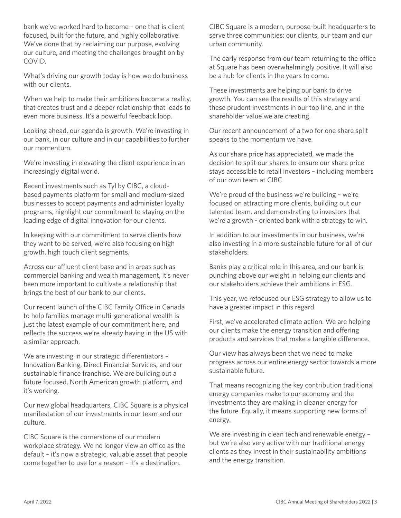bank we've worked hard to become – one that is client focused, built for the future, and highly collaborative. We've done that by reclaiming our purpose, evolving our culture, and meeting the challenges brought on by COVID.

What's driving our growth today is how we do business with our clients

When we help to make their ambitions become a reality, that creates trust and a deeper relationship that leads to even more business. It's a powerful feedback loop.

Looking ahead, our agenda is growth. We're investing in our bank, in our culture and in our capabilities to further our momentum.

We're investing in elevating the client experience in an increasingly digital world.

Recent investments such as Tyl by CIBC, a cloudbased payments platform for small and medium-sized businesses to accept payments and administer loyalty programs, highlight our commitment to staying on the leading edge of digital innovation for our clients.

In keeping with our commitment to serve clients how they want to be served, we're also focusing on high growth, high touch client segments.

Across our affluent client base and in areas such as commercial banking and wealth management, it's never been more important to cultivate a relationship that brings the best of our bank to our clients.

Our recent launch of the CIBC Family Office in Canada to help families manage multi-generational wealth is just the latest example of our commitment here, and reflects the success we're already having in the US with a similar approach.

We are investing in our strategic differentiators – Innovation Banking, Direct Financial Services, and our sustainable finance franchise. We are building out a future focused, North American growth platform, and it's working.

Our new global headquarters, CIBC Square is a physical manifestation of our investments in our team and our culture.

CIBC Square is the cornerstone of our modern workplace strategy. We no longer view an office as the default – it's now a strategic, valuable asset that people come together to use for a reason – it's a destination.

CIBC Square is a modern, purpose-built headquarters to serve three communities: our clients, our team and our urban community.

The early response from our team returning to the office at Square has been overwhelmingly positive. It will also be a hub for clients in the years to come.

These investments are helping our bank to drive growth. You can see the results of this strategy and these prudent investments in our top line, and in the shareholder value we are creating.

Our recent announcement of a two for one share split speaks to the momentum we have.

As our share price has appreciated, we made the decision to split our shares to ensure our share price stays accessible to retail investors – including members of our own team at CIBC.

We're proud of the business we're building – we're focused on attracting more clients, building out our talented team, and demonstrating to investors that we're a growth - oriented bank with a strategy to win.

In addition to our investments in our business, we're also investing in a more sustainable future for all of our stakeholders.

Banks play a critical role in this area, and our bank is punching above our weight in helping our clients and our stakeholders achieve their ambitions in ESG.

This year, we refocused our ESG strategy to allow us to have a greater impact in this regard.

First, we've accelerated climate action. We are helping our clients make the energy transition and offering products and services that make a tangible difference.

Our view has always been that we need to make progress across our entire energy sector towards a more sustainable future.

That means recognizing the key contribution traditional energy companies make to our economy and the investments they are making in cleaner energy for the future. Equally, it means supporting new forms of energy.

We are investing in clean tech and renewable energy – but we're also very active with our traditional energy clients as they invest in their sustainability ambitions and the energy transition.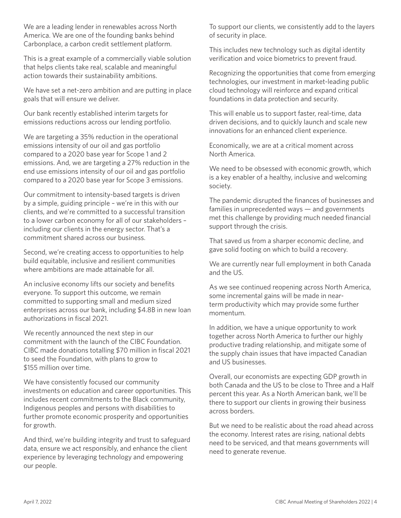We are a leading lender in renewables across North America. We are one of the founding banks behind Carbonplace, a carbon credit settlement platform.

This is a great example of a commercially viable solution that helps clients take real, scalable and meaningful action towards their sustainability ambitions.

We have set a net-zero ambition and are putting in place goals that will ensure we deliver.

Our bank recently established interim targets for emissions reductions across our lending portfolio.

We are targeting a 35% reduction in the operational emissions intensity of our oil and gas portfolio compared to a 2020 base year for Scope 1 and 2 emissions. And, we are targeting a 27% reduction in the end use emissions intensity of our oil and gas portfolio compared to a 2020 base year for Scope 3 emissions.

Our commitment to intensity-based targets is driven by a simple, guiding principle – we're in this with our clients, and we're committed to a successful transition to a lower carbon economy for all of our stakeholders – including our clients in the energy sector. That's a commitment shared across our business.

Second, we're creating access to opportunities to help build equitable, inclusive and resilient communities where ambitions are made attainable for all.

An inclusive economy lifts our society and benefits everyone. To support this outcome, we remain committed to supporting small and medium sized enterprises across our bank, including \$4.8B in new loan authorizations in fiscal 2021.

We recently announced the next step in our commitment with the launch of the CIBC Foundation. CIBC made donations totalling \$70 million in fiscal 2021 to seed the Foundation, with plans to grow to \$155 million over time.

We have consistently focused our community investments on education and career opportunities. This includes recent commitments to the Black community, Indigenous peoples and persons with disabilities to further promote economic prosperity and opportunities for growth.

And third, we're building integrity and trust to safeguard data, ensure we act responsibly, and enhance the client experience by leveraging technology and empowering our people.

To support our clients, we consistently add to the layers of security in place.

This includes new technology such as digital identity verification and voice biometrics to prevent fraud.

Recognizing the opportunities that come from emerging technologies, our investment in market-leading public cloud technology will reinforce and expand critical foundations in data protection and security.

This will enable us to support faster, real-time, data driven decisions, and to quickly launch and scale new innovations for an enhanced client experience.

Economically, we are at a critical moment across North America.

We need to be obsessed with economic growth, which is a key enabler of a healthy, inclusive and welcoming society.

The pandemic disrupted the finances of businesses and families in unprecedented ways — and governments met this challenge by providing much needed financial support through the crisis.

That saved us from a sharper economic decline, and gave solid footing on which to build a recovery.

We are currently near full employment in both Canada and the US.

As we see continued reopening across North America, some incremental gains will be made in nearterm productivity which may provide some further momentum.

In addition, we have a unique opportunity to work together across North America to further our highly productive trading relationship, and mitigate some of the supply chain issues that have impacted Canadian and US businesses.

Overall, our economists are expecting GDP growth in both Canada and the US to be close to Three and a Half percent this year. As a North American bank, we'll be there to support our clients in growing their business across borders.

But we need to be realistic about the road ahead across the economy. Interest rates are rising, national debts need to be serviced, and that means governments will need to generate revenue.